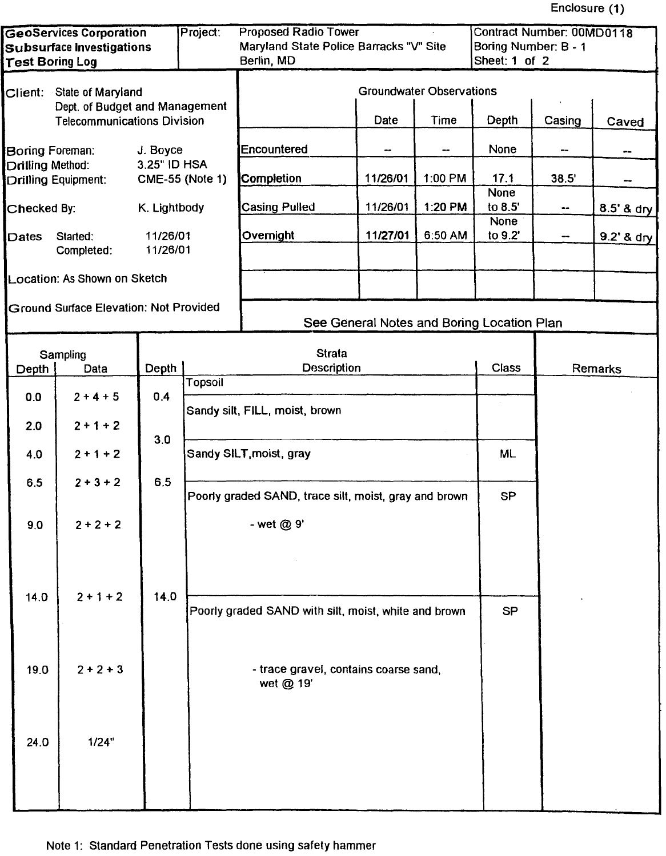Enclosure (1)

| <b>GeoServices Corporation</b><br>Project:<br><b>Subsurface Investigations</b><br><b>Test Boring Log</b> |                                                                                               |                      | <b>Proposed Radio Tower</b><br><b>Contract Number: 00MD0118</b><br>Maryland State Police Barracks "V" Site<br>Boring Number: B - 1<br>Sheet: 1 of 2<br>Berlin, MD |                                                                     |                                            |         |                        |        |              |
|----------------------------------------------------------------------------------------------------------|-----------------------------------------------------------------------------------------------|----------------------|-------------------------------------------------------------------------------------------------------------------------------------------------------------------|---------------------------------------------------------------------|--------------------------------------------|---------|------------------------|--------|--------------|
| Client: State of Maryland<br>Dept. of Budget and Management                                              |                                                                                               |                      | <b>Groundwater Observations</b>                                                                                                                                   |                                                                     |                                            |         |                        |        |              |
|                                                                                                          | <b>Telecommunications Division</b>                                                            |                      |                                                                                                                                                                   |                                                                     | Date                                       | Time    | Depth                  | Casing | Caved        |
|                                                                                                          | J. Boyce<br>Boring Foreman:<br>3.25" ID HSA<br>Drilling Method:<br><b>Drilling Equipment:</b> |                      |                                                                                                                                                                   | Encountered                                                         |                                            |         | None                   |        |              |
|                                                                                                          |                                                                                               |                      | <b>CME-55 (Note 1)</b>                                                                                                                                            | Completion                                                          | 11/26/01                                   | 1:00 PM | 17.1                   | 38.5'  | --           |
| Checked By:                                                                                              |                                                                                               | K. Lightbody         |                                                                                                                                                                   | <b>Casing Pulled</b>                                                | 11/26/01                                   | 1:20 PM | <b>None</b><br>to 8.5' | --     | 8.5' & dry   |
| Dates                                                                                                    | Started:<br>Completed:                                                                        | 11/26/01<br>11/26/01 |                                                                                                                                                                   | Overnight                                                           | 11/27/01                                   | 6:50 AM | None<br>to 9.2'        | --     | $9.2'$ & dry |
|                                                                                                          | Location: As Shown on Sketch                                                                  |                      |                                                                                                                                                                   |                                                                     |                                            |         |                        |        |              |
|                                                                                                          | <b>Ground Surface Elevation: Not Provided</b>                                                 |                      |                                                                                                                                                                   |                                                                     | See General Notes and Boring Location Plan |         |                        |        |              |
|                                                                                                          |                                                                                               |                      |                                                                                                                                                                   |                                                                     |                                            |         |                        |        |              |
| Depth                                                                                                    | Sampling<br>Data                                                                              | Depth                |                                                                                                                                                                   | <b>Strata</b>                                                       | <b>Description</b>                         |         |                        |        | Remarks      |
| 0.0                                                                                                      | $2 + 4 + 5$                                                                                   | 0.4                  | <b>Topsoil</b>                                                                                                                                                    |                                                                     |                                            |         |                        |        |              |
| 2.0                                                                                                      | $2 + 1 + 2$                                                                                   | 3.0                  |                                                                                                                                                                   | Sandy silt, FILL, moist, brown                                      |                                            |         |                        |        |              |
| 4.0                                                                                                      | $2 + 1 + 2$                                                                                   |                      |                                                                                                                                                                   | Sandy SILT, moist, gray                                             | <b>ML</b>                                  |         |                        |        |              |
| 6,5                                                                                                      | $2 + 3 + 2$                                                                                   | 6.5                  |                                                                                                                                                                   | Poorly graded SAND, trace silt, moist, gray and brown<br>- wet @ 9' |                                            |         | SP                     |        |              |
| 9,0                                                                                                      | $2 + 2 + 2$                                                                                   |                      |                                                                                                                                                                   |                                                                     |                                            |         |                        |        |              |
|                                                                                                          |                                                                                               |                      |                                                                                                                                                                   |                                                                     |                                            |         |                        |        |              |
| 14.0                                                                                                     | $2 + 1 + 2$                                                                                   | 14.0                 |                                                                                                                                                                   | Poorly graded SAND with silt, moist, white and brown                |                                            |         | <b>SP</b>              |        |              |
|                                                                                                          |                                                                                               |                      |                                                                                                                                                                   |                                                                     |                                            |         |                        |        |              |
| 19.0                                                                                                     | $2 + 2 + 3$                                                                                   |                      |                                                                                                                                                                   | - trace gravel, contains coarse sand,<br>wet @ 19'                  |                                            |         |                        |        |              |
| 24.0                                                                                                     | 1/24"                                                                                         |                      |                                                                                                                                                                   |                                                                     |                                            |         |                        |        |              |
|                                                                                                          |                                                                                               |                      |                                                                                                                                                                   |                                                                     |                                            |         |                        |        |              |
|                                                                                                          |                                                                                               |                      |                                                                                                                                                                   |                                                                     |                                            |         |                        |        |              |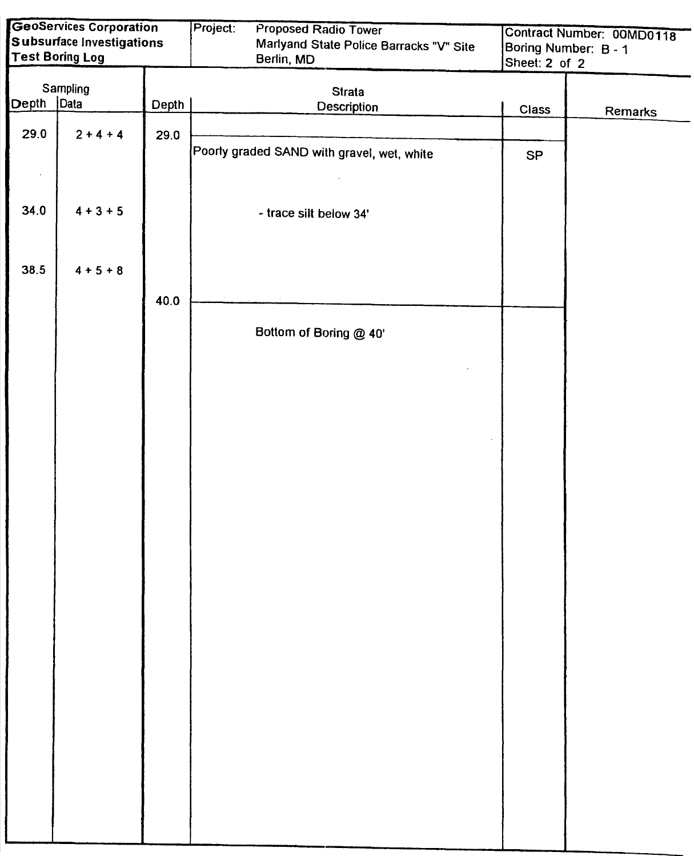|       | <b>GeoServices Corporation</b> |       | Project:<br>Proposed Radio Tower           |               | Contract Number: 00MD0118 |  |  |
|-------|--------------------------------|-------|--------------------------------------------|---------------|---------------------------|--|--|
|       | Subsurface Investigations      |       | Marlyand State Police Barracks "V" Site    |               | Boring Number: B - 1      |  |  |
|       | <b>Test Boring Log</b>         |       | Berlin, MD                                 | Sheet: 2 of 2 |                           |  |  |
|       |                                |       |                                            |               |                           |  |  |
|       | Sampling                       |       | <b>Strata</b>                              |               |                           |  |  |
| Depth | Data                           | Depth | <b>Description</b>                         | Class         |                           |  |  |
|       |                                |       |                                            |               | Remarks                   |  |  |
| 29.0  | $2 + 4 + 4$                    | 29.0  |                                            |               |                           |  |  |
|       |                                |       | Poorly graded SAND with gravel, wet, white | SP            |                           |  |  |
|       |                                |       |                                            |               |                           |  |  |
|       |                                |       |                                            |               |                           |  |  |
|       |                                |       |                                            |               |                           |  |  |
| 34.0  | $4 + 3 + 5$                    |       | - trace silt below 34'                     |               |                           |  |  |
|       |                                |       |                                            |               |                           |  |  |
|       |                                |       |                                            |               |                           |  |  |
| 38.5  | $4 + 5 + 8$                    |       |                                            |               |                           |  |  |
|       |                                |       |                                            |               |                           |  |  |
|       |                                | 40.0  |                                            |               |                           |  |  |
|       |                                |       |                                            |               |                           |  |  |
|       |                                |       | Bottom of Boring @ 40'                     |               |                           |  |  |
|       |                                |       |                                            |               |                           |  |  |
|       |                                |       |                                            |               |                           |  |  |
|       |                                |       |                                            |               |                           |  |  |
|       |                                |       |                                            |               |                           |  |  |
|       |                                |       |                                            |               |                           |  |  |
|       |                                |       |                                            |               |                           |  |  |
|       |                                |       |                                            |               |                           |  |  |
|       |                                |       |                                            |               |                           |  |  |
|       |                                |       |                                            |               |                           |  |  |
|       |                                |       |                                            |               |                           |  |  |
|       |                                |       |                                            |               |                           |  |  |
|       |                                |       |                                            |               |                           |  |  |
|       |                                |       |                                            |               |                           |  |  |
|       |                                |       |                                            |               |                           |  |  |
|       |                                |       |                                            |               |                           |  |  |
|       |                                |       |                                            |               |                           |  |  |
|       |                                |       |                                            |               |                           |  |  |
|       |                                |       |                                            |               |                           |  |  |
|       |                                |       |                                            |               |                           |  |  |
|       |                                |       |                                            |               |                           |  |  |
|       |                                |       |                                            |               |                           |  |  |
|       |                                |       |                                            |               |                           |  |  |
|       |                                |       |                                            |               |                           |  |  |
|       |                                |       |                                            |               |                           |  |  |
|       |                                |       |                                            |               |                           |  |  |
|       |                                |       |                                            |               |                           |  |  |
|       |                                |       |                                            |               |                           |  |  |
|       |                                |       |                                            |               |                           |  |  |
|       |                                |       |                                            |               |                           |  |  |
|       |                                |       |                                            |               |                           |  |  |
|       |                                |       |                                            |               |                           |  |  |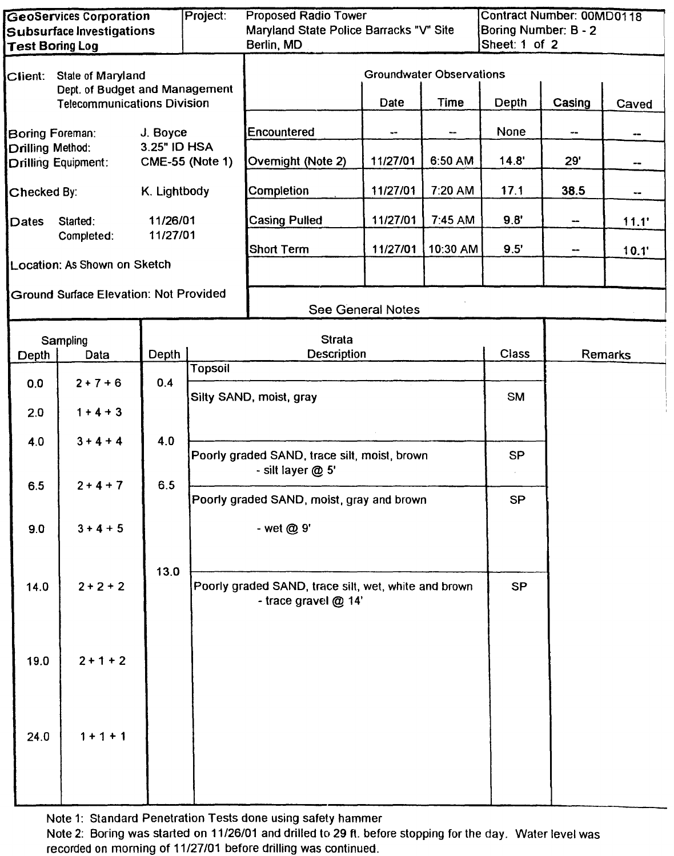| <b>GeoServices Corporation</b>                                       |                                               |              | Project:               | <b>Proposed Radio Tower</b>                                                  |                   |                          | <b>Contract Number: 00MD0118</b>      |                             |         |  |
|----------------------------------------------------------------------|-----------------------------------------------|--------------|------------------------|------------------------------------------------------------------------------|-------------------|--------------------------|---------------------------------------|-----------------------------|---------|--|
| Subsurface Investigations<br><b>Test Boring Log</b>                  |                                               |              |                        | Maryland State Police Barracks "V" Site<br>Berlin, MD                        |                   |                          | Boring Number: B - 2<br>Sheet: 1 of 2 |                             |         |  |
|                                                                      |                                               |              |                        |                                                                              |                   |                          |                                       |                             |         |  |
| $C$ lient:                                                           | State of Maryland                             |              |                        | Groundwater Observations                                                     |                   |                          |                                       |                             |         |  |
| Dept. of Budget and Management<br><b>Telecommunications Division</b> |                                               |              | <b>Time</b><br>Date    |                                                                              |                   | Depth                    | Casing                                | Caved                       |         |  |
| Boring Foreman:                                                      |                                               | J. Boyce     |                        | Encountered                                                                  | ۰.                | $\overline{\phantom{a}}$ | None                                  | $\rightarrow$ $\rightarrow$ | --      |  |
| Drilling Method:                                                     | <b>Drilling Equipment:</b>                    | 3.25" ID HSA | <b>CME-55 (Note 1)</b> | Overnight (Note 2)                                                           | 11/27/01          | 6:50 AM                  | 14.8'                                 | 29'                         | --      |  |
| Checked By:                                                          |                                               | K. Lightbody |                        | Completion                                                                   | 11/27/01          | 7:20 AM                  | 17.1                                  | 38.5                        |         |  |
| Dates                                                                | Started:                                      | 11/26/01     |                        | <b>Casing Pulled</b>                                                         | 11/27/01          | 7:45 AM                  | 9.8'                                  | --                          | 11.1'   |  |
|                                                                      | Completed:                                    | 11/27/01     |                        | <b>Short Term</b>                                                            | 11/27/01          | 10:30 AM                 | 9.5'                                  | --                          | 10.1'   |  |
|                                                                      | Location: As Shown on Sketch                  |              |                        |                                                                              |                   |                          |                                       |                             |         |  |
|                                                                      | <b>Ground Surface Elevation: Not Provided</b> |              |                        |                                                                              | See General Notes |                          |                                       |                             |         |  |
|                                                                      |                                               |              |                        |                                                                              |                   |                          |                                       |                             |         |  |
| Depth                                                                | Sampling<br>Data                              | Depth        |                        | <b>Strata</b><br><b>Description</b>                                          |                   |                          | Class                                 |                             | Remarks |  |
|                                                                      |                                               |              | <b>Topsoil</b>         |                                                                              |                   |                          |                                       |                             |         |  |
| 0.0                                                                  | $2 + 7 + 6$                                   | 0.4          |                        | Silty SAND, moist, gray                                                      |                   |                          | <b>SM</b>                             |                             |         |  |
| 2.0                                                                  | $1 + 4 + 3$                                   |              |                        |                                                                              |                   |                          |                                       |                             |         |  |
| 4.0                                                                  | $3 + 4 + 4$                                   | 4.0          |                        | Poorly graded SAND, trace silt, moist, brown                                 | <b>SP</b>         |                          |                                       |                             |         |  |
| 6.5                                                                  | $2 + 4 + 7$                                   | 6.5          |                        | - silt layer @ 5'<br>Poorly graded SAND, moist, gray and brown<br>- wet @ 9' |                   |                          | <b>SP</b>                             |                             |         |  |
| 9.0                                                                  | $3 + 4 + 5$                                   |              |                        |                                                                              |                   |                          |                                       |                             |         |  |
|                                                                      |                                               |              |                        |                                                                              |                   |                          |                                       |                             |         |  |
| 14.0                                                                 | $2 + 2 + 2$                                   | 13.0         |                        | Poorly graded SAND, trace silt, wet, white and brown<br>- trace gravel @ 14' |                   |                          | <b>SP</b>                             |                             |         |  |
|                                                                      |                                               |              |                        |                                                                              |                   |                          |                                       |                             |         |  |
| 19.0                                                                 | $2 + 1 + 2$                                   |              |                        |                                                                              |                   |                          |                                       |                             |         |  |
| 24.0                                                                 | $1 + 1 + 1$                                   |              |                        |                                                                              |                   |                          |                                       |                             |         |  |
|                                                                      |                                               |              |                        |                                                                              |                   |                          |                                       |                             |         |  |

Note 1: Standard Penetration Tests done using safety hammer

Note 2: Boring was started on 11/26/01 and drilled to 29 ft. before stopping for the day. Water level was recorded on morning of 11/27/01 before drilling was continued.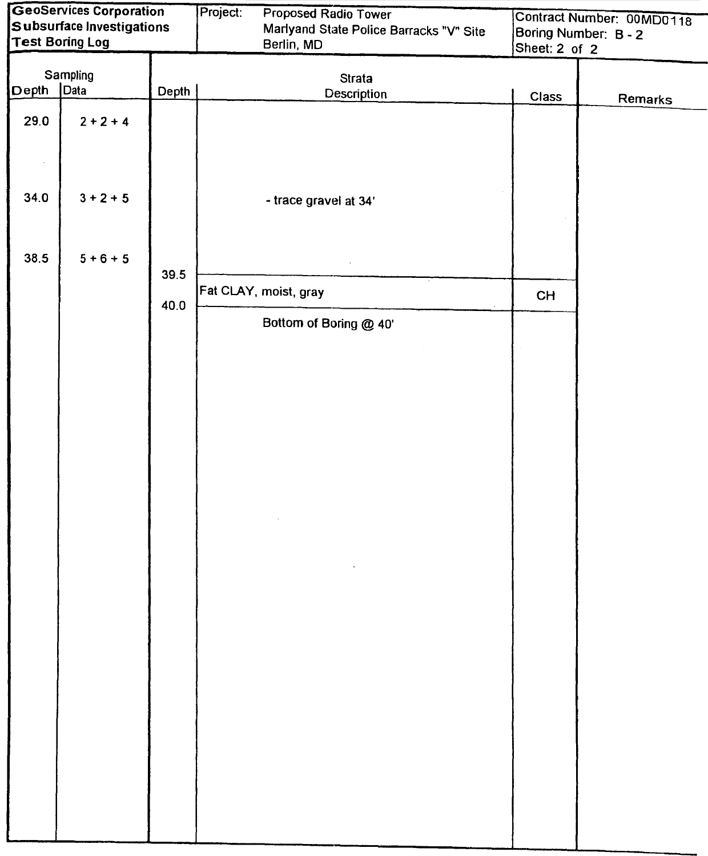| GeoServices Corporation<br>Subsurface Investigations |                        |       | Project:<br>Proposed Radio Tower |                                                       | Contract Number: 00MD0118             |         |  |
|------------------------------------------------------|------------------------|-------|----------------------------------|-------------------------------------------------------|---------------------------------------|---------|--|
|                                                      | <b>Test Boring Log</b> |       |                                  | Marlyand State Police Barracks "V" Site<br>Berlin, MD | Boring Number: B - 2<br>Sheet: 2 of 2 |         |  |
|                                                      |                        |       |                                  |                                                       |                                       |         |  |
|                                                      | Sampling               |       |                                  | <b>Strata</b>                                         |                                       |         |  |
| Depth                                                | Data                   | Depth |                                  | Description                                           | Class                                 | Remarks |  |
| 29.0                                                 | $2 + 2 + 4$            |       |                                  |                                                       |                                       |         |  |
| 34.0                                                 | $3 + 2 + 5$            |       |                                  | - trace gravel at 34'                                 |                                       |         |  |
| 38.5                                                 | $5 + 6 + 5$            | 39.5  |                                  |                                                       |                                       |         |  |
|                                                      |                        | 40.0  |                                  | Fat CLAY, moist, gray                                 | <b>CH</b>                             |         |  |
|                                                      |                        |       |                                  | Bottom of Boring @ 40'                                |                                       |         |  |
|                                                      |                        |       |                                  |                                                       |                                       |         |  |
|                                                      |                        |       |                                  |                                                       |                                       |         |  |
|                                                      |                        |       |                                  |                                                       |                                       |         |  |
|                                                      |                        |       |                                  |                                                       |                                       |         |  |
|                                                      |                        |       |                                  |                                                       |                                       |         |  |
|                                                      |                        |       |                                  |                                                       |                                       |         |  |
|                                                      |                        |       |                                  |                                                       |                                       |         |  |
|                                                      |                        |       |                                  |                                                       |                                       |         |  |
|                                                      |                        |       |                                  |                                                       |                                       |         |  |
|                                                      |                        |       |                                  |                                                       |                                       |         |  |
|                                                      |                        |       |                                  |                                                       |                                       |         |  |
|                                                      |                        |       |                                  |                                                       |                                       |         |  |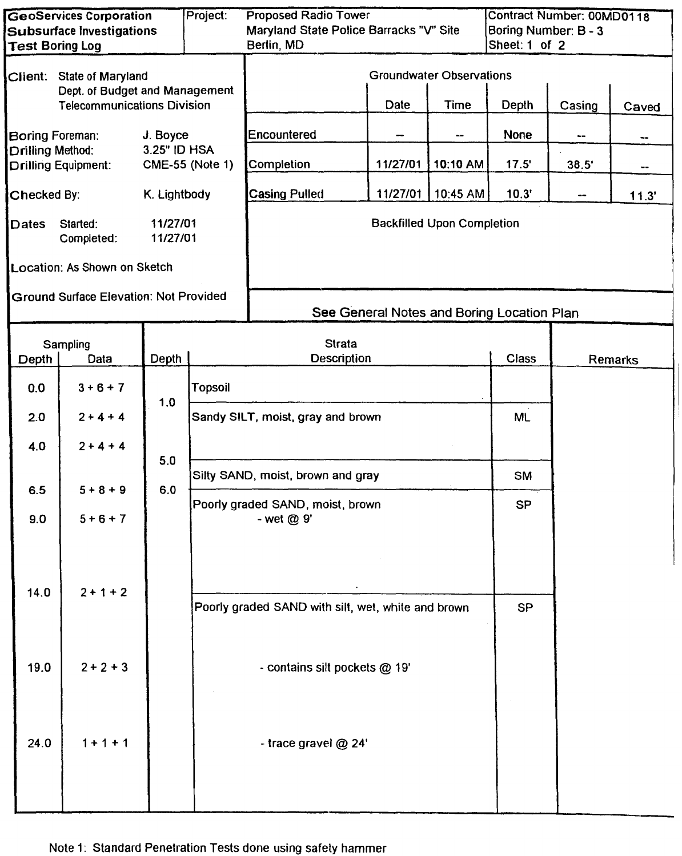| <b>GeoServices Corporation</b><br><b>Subsurface Investigations</b> |                                               |                        | Project:       | <b>Proposed Radio Tower</b><br>Maryland State Police Barracks "V" Site |                                            |                                   | Contract Number: 00MD0118<br>Boring Number: B - 3 |               |         |  |
|--------------------------------------------------------------------|-----------------------------------------------|------------------------|----------------|------------------------------------------------------------------------|--------------------------------------------|-----------------------------------|---------------------------------------------------|---------------|---------|--|
| <b>Test Boring Log</b>                                             |                                               |                        |                | Berlin, MD                                                             |                                            |                                   |                                                   | Sheet: 1 of 2 |         |  |
| Client: State of Maryland<br>Dept. of Budget and Management        |                                               |                        |                | <b>Groundwater Observations</b>                                        |                                            |                                   |                                                   |               |         |  |
| <b>Telecommunications Division</b>                                 |                                               |                        |                |                                                                        | Date                                       | <b>Time</b>                       | Depth                                             | Casing        | Caved   |  |
|                                                                    | J. Boyce<br>Boring Foreman:                   |                        |                | Encountered                                                            |                                            | --                                | <b>None</b>                                       |               |         |  |
| 3.25" ID HSA<br>Drilling Method:<br><b>Drilling Equipment:</b>     |                                               | <b>CME-55 (Note 1)</b> | Completion     | 11/27/01                                                               | 10:10 AM                                   | 17.5'                             | 38.5'                                             | --            |         |  |
| Checked By:                                                        |                                               | K. Lightbody           |                | <b>Casing Pulled</b>                                                   | 11/27/01                                   | 10:45 AM                          | 10.3'                                             | --            | 11.3'   |  |
| Dates                                                              | Started:<br>Completed:                        | 11/27/01<br>11/27/01   |                |                                                                        |                                            | <b>Backfilled Upon Completion</b> |                                                   |               |         |  |
|                                                                    | Location: As Shown on Sketch                  |                        |                |                                                                        |                                            |                                   |                                                   |               |         |  |
|                                                                    | <b>Ground Surface Elevation: Not Provided</b> |                        |                |                                                                        | See General Notes and Boring Location Plan |                                   |                                                   |               |         |  |
|                                                                    |                                               |                        |                |                                                                        |                                            |                                   |                                                   |               |         |  |
| Depth                                                              | Sampling<br>Data                              | Depth                  |                | <b>Strata</b><br><b>Description</b>                                    |                                            |                                   | Class                                             |               | Remarks |  |
| 0.0                                                                | $3 + 6 + 7$                                   |                        | <b>Topsoil</b> |                                                                        |                                            |                                   |                                                   |               |         |  |
| 2.0                                                                | $2 + 4 + 4$                                   | 1.0                    |                | Sandy SILT, moist, gray and brown                                      |                                            |                                   |                                                   |               |         |  |
| 4.0                                                                | $2 + 4 + 4$                                   | 5.0                    |                |                                                                        |                                            |                                   |                                                   |               |         |  |
| 6.5                                                                | $5 + 8 + 9$                                   | 6.0                    |                | Silty SAND, moist, brown and gray                                      | <b>SM</b>                                  |                                   |                                                   |               |         |  |
| 9.0                                                                | $5 + 6 + 7$                                   |                        |                | Poorly graded SAND, moist, brown                                       |                                            |                                   |                                                   |               |         |  |
|                                                                    |                                               |                        |                | - wet @ 9'                                                             |                                            |                                   |                                                   |               |         |  |
| 14.0                                                               | $2 + 1 + 2$                                   |                        |                | Poorly graded SAND with silt, wet, white and brown                     |                                            |                                   | <b>SP</b>                                         |               |         |  |
| 19.0                                                               | $2 + 2 + 3$                                   |                        |                | - contains silt pockets @ 19'                                          |                                            |                                   |                                                   |               |         |  |
| 24.0                                                               | $1 + 1 + 1$                                   |                        |                | - trace gravel @ 24'                                                   |                                            |                                   |                                                   |               |         |  |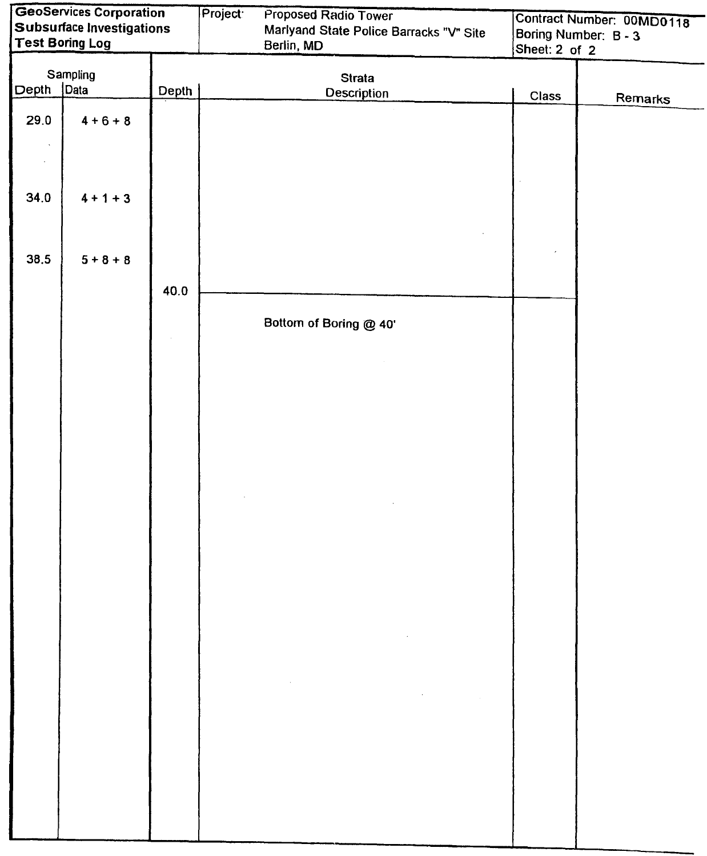| GeoServices Corporation<br><b>Subsurface Investigations</b> |                        |       | Project: | Proposed Radio Tower                                                                                                                                                                                                                                                                                                                                                                                                                                   | Contract Number: 00MD0118 |                      |  |
|-------------------------------------------------------------|------------------------|-------|----------|--------------------------------------------------------------------------------------------------------------------------------------------------------------------------------------------------------------------------------------------------------------------------------------------------------------------------------------------------------------------------------------------------------------------------------------------------------|---------------------------|----------------------|--|
|                                                             | <b>Test Boring Log</b> |       |          | Marlyand State Police Barracks "V" Site<br>Berlin, MD                                                                                                                                                                                                                                                                                                                                                                                                  |                           | Boring Number: B - 3 |  |
|                                                             |                        |       |          |                                                                                                                                                                                                                                                                                                                                                                                                                                                        | Sheet: 2 of 2             |                      |  |
|                                                             | Sampling               |       |          | <b>Strata</b>                                                                                                                                                                                                                                                                                                                                                                                                                                          |                           |                      |  |
| Depth                                                       | Data                   | Depth |          | <b>Description</b>                                                                                                                                                                                                                                                                                                                                                                                                                                     | Class                     | Remarks              |  |
| 29.0                                                        | $4 + 6 + 8$            |       |          |                                                                                                                                                                                                                                                                                                                                                                                                                                                        |                           |                      |  |
|                                                             |                        |       |          |                                                                                                                                                                                                                                                                                                                                                                                                                                                        |                           |                      |  |
|                                                             |                        |       |          |                                                                                                                                                                                                                                                                                                                                                                                                                                                        |                           |                      |  |
|                                                             |                        |       |          |                                                                                                                                                                                                                                                                                                                                                                                                                                                        |                           |                      |  |
| 34.0                                                        | $4 + 1 + 3$            |       |          |                                                                                                                                                                                                                                                                                                                                                                                                                                                        |                           |                      |  |
|                                                             |                        |       |          |                                                                                                                                                                                                                                                                                                                                                                                                                                                        |                           |                      |  |
|                                                             |                        |       |          |                                                                                                                                                                                                                                                                                                                                                                                                                                                        |                           |                      |  |
| 38.5                                                        | $5 + 8 + 8$            |       |          |                                                                                                                                                                                                                                                                                                                                                                                                                                                        |                           |                      |  |
|                                                             |                        |       |          |                                                                                                                                                                                                                                                                                                                                                                                                                                                        |                           |                      |  |
|                                                             |                        | 40.0  |          |                                                                                                                                                                                                                                                                                                                                                                                                                                                        |                           |                      |  |
|                                                             |                        |       |          |                                                                                                                                                                                                                                                                                                                                                                                                                                                        |                           |                      |  |
|                                                             |                        |       |          | Bottom of Boring @ 40'                                                                                                                                                                                                                                                                                                                                                                                                                                 |                           |                      |  |
|                                                             |                        |       |          |                                                                                                                                                                                                                                                                                                                                                                                                                                                        |                           |                      |  |
|                                                             |                        |       |          |                                                                                                                                                                                                                                                                                                                                                                                                                                                        |                           |                      |  |
|                                                             |                        |       |          |                                                                                                                                                                                                                                                                                                                                                                                                                                                        |                           |                      |  |
|                                                             |                        |       |          |                                                                                                                                                                                                                                                                                                                                                                                                                                                        |                           |                      |  |
|                                                             |                        |       |          |                                                                                                                                                                                                                                                                                                                                                                                                                                                        |                           |                      |  |
|                                                             |                        |       |          |                                                                                                                                                                                                                                                                                                                                                                                                                                                        |                           |                      |  |
|                                                             |                        |       |          |                                                                                                                                                                                                                                                                                                                                                                                                                                                        |                           |                      |  |
|                                                             |                        |       |          |                                                                                                                                                                                                                                                                                                                                                                                                                                                        |                           |                      |  |
|                                                             |                        |       |          |                                                                                                                                                                                                                                                                                                                                                                                                                                                        |                           |                      |  |
|                                                             |                        |       |          |                                                                                                                                                                                                                                                                                                                                                                                                                                                        |                           |                      |  |
|                                                             |                        |       |          |                                                                                                                                                                                                                                                                                                                                                                                                                                                        |                           |                      |  |
|                                                             |                        |       |          |                                                                                                                                                                                                                                                                                                                                                                                                                                                        |                           |                      |  |
|                                                             |                        |       |          |                                                                                                                                                                                                                                                                                                                                                                                                                                                        |                           |                      |  |
|                                                             |                        |       |          |                                                                                                                                                                                                                                                                                                                                                                                                                                                        |                           |                      |  |
|                                                             |                        |       |          |                                                                                                                                                                                                                                                                                                                                                                                                                                                        |                           |                      |  |
|                                                             |                        |       |          | $\mathcal{L}(\mathcal{L}^{\mathcal{L}})$ and $\mathcal{L}^{\mathcal{L}}$ are the set of the set of $\mathcal{L}^{\mathcal{L}}$                                                                                                                                                                                                                                                                                                                         |                           |                      |  |
|                                                             |                        |       |          |                                                                                                                                                                                                                                                                                                                                                                                                                                                        |                           |                      |  |
|                                                             |                        |       |          | $\label{eq:2.1} \frac{1}{\sqrt{2}}\left(\frac{1}{\sqrt{2}}\right)^{2} \left(\frac{1}{\sqrt{2}}\right)^{2} \left(\frac{1}{\sqrt{2}}\right)^{2} \left(\frac{1}{\sqrt{2}}\right)^{2} \left(\frac{1}{\sqrt{2}}\right)^{2} \left(\frac{1}{\sqrt{2}}\right)^{2} \left(\frac{1}{\sqrt{2}}\right)^{2} \left(\frac{1}{\sqrt{2}}\right)^{2} \left(\frac{1}{\sqrt{2}}\right)^{2} \left(\frac{1}{\sqrt{2}}\right)^{2} \left(\frac{1}{\sqrt{2}}\right)^{2} \left(\$ |                           |                      |  |
|                                                             |                        |       |          | $\mathcal{L}^{\mathcal{L}}(\mathcal{L}^{\mathcal{L}})$ and $\mathcal{L}^{\mathcal{L}}(\mathcal{L}^{\mathcal{L}})$ and $\mathcal{L}^{\mathcal{L}}(\mathcal{L}^{\mathcal{L}})$ and $\mathcal{L}^{\mathcal{L}}(\mathcal{L}^{\mathcal{L}})$                                                                                                                                                                                                                |                           |                      |  |
|                                                             |                        |       |          |                                                                                                                                                                                                                                                                                                                                                                                                                                                        |                           |                      |  |
|                                                             |                        |       |          |                                                                                                                                                                                                                                                                                                                                                                                                                                                        |                           |                      |  |
|                                                             |                        |       |          |                                                                                                                                                                                                                                                                                                                                                                                                                                                        |                           |                      |  |
|                                                             |                        |       |          |                                                                                                                                                                                                                                                                                                                                                                                                                                                        |                           |                      |  |
|                                                             |                        |       |          |                                                                                                                                                                                                                                                                                                                                                                                                                                                        |                           |                      |  |
|                                                             |                        |       |          |                                                                                                                                                                                                                                                                                                                                                                                                                                                        |                           |                      |  |
|                                                             |                        |       |          |                                                                                                                                                                                                                                                                                                                                                                                                                                                        |                           |                      |  |